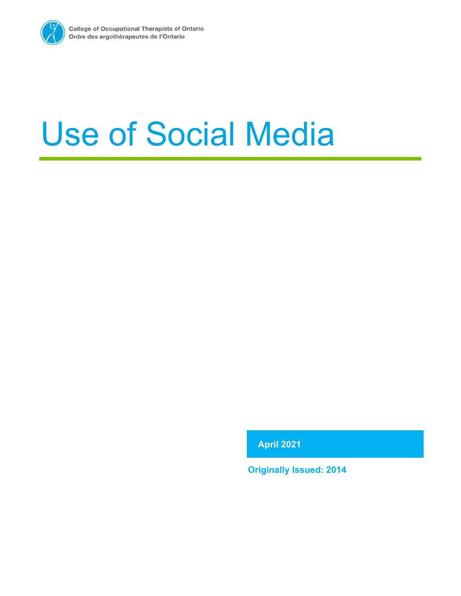

# Use of Social Media

**April 2021**

**Originally Issued: 2014**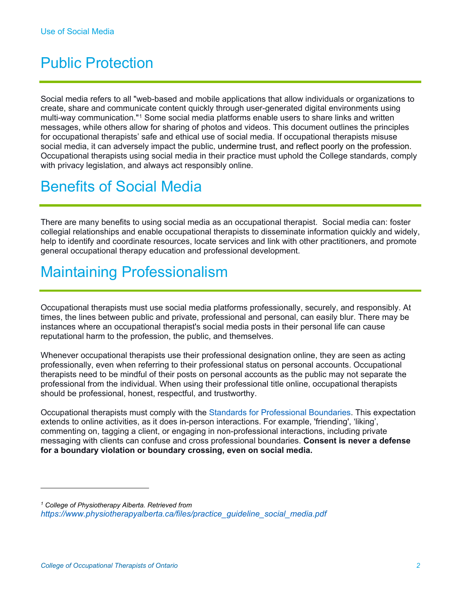## Public Protection

Social media refers to all "web-based and mobile applications that allow individuals or organizations to create, share and communicate content quickly through user-generated digital environments using multi-way communication."[1](#page-1-0) Some social media platforms enable users to share links and written messages, while others allow for sharing of photos and videos. This document outlines the principles for occupational therapists' safe and ethical use of social media. If occupational therapists misuse social media, it can adversely impact the public, undermine trust, and reflect poorly on the profession. Occupational therapists using social media in their practice must uphold the College standards, comply with privacy legislation, and always act responsibly online.

## Benefits of Social Media

There are many benefits to using social media as an occupational therapist. Social media can: foster collegial relationships and enable occupational therapists to disseminate information quickly and widely, help to identify and coordinate resources, locate services and link with other practitioners, and promote general occupational therapy education and professional development.

## Maintaining Professionalism

Occupational therapists must use social media platforms professionally, securely, and responsibly. At times, the lines between public and private, professional and personal, can easily blur. There may be instances where an occupational therapist's social media posts in their personal life can cause reputational harm to the profession, the public, and themselves.

Whenever occupational therapists use their professional designation online, they are seen as acting professionally, even when referring to their professional status on personal accounts. Occupational therapists need to be mindful of their posts on personal accounts as the public may not separate the professional from the individual. When using their professional title online, occupational therapists should be professional, honest, respectful, and trustworthy.

Occupational therapists must comply with the [Standards for Professional Boundaries.](https://www.coto.org/docs/default-source/default-document-library/standards-for-professional-boundaries-2015.pdf?sfvrsn=1d4f5c59_8) This expectation extends to online activities, as it does in-person interactions. For example, 'friending', 'liking', commenting on, tagging a client, or engaging in non-professional interactions, including private messaging with clients can confuse and cross professional boundaries. **Consent is never a defense for a boundary violation or boundary crossing, even on social media.** 

<span id="page-1-0"></span>*<sup>1</sup> College of Physiotherapy Alberta. Retrieved from [https://www.physiotherapyalberta.ca/files/practice\\_guideline\\_social\\_media.pdf](https://www.physiotherapyalberta.ca/files/practice_guideline_social_media.pdf)*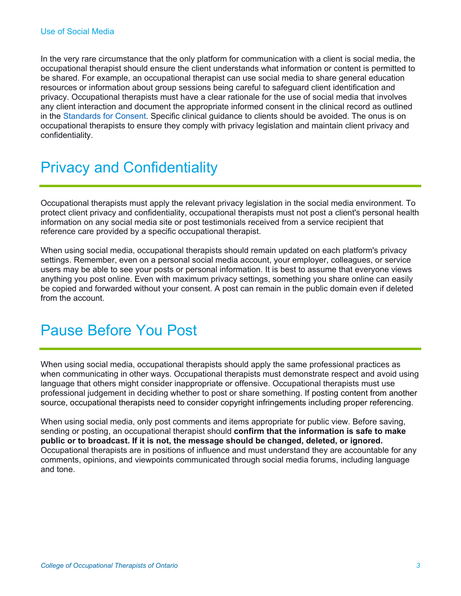In the very rare circumstance that the only platform for communication with a client is social media, the occupational therapist should ensure the client understands what information or content is permitted to be shared. For example, an occupational therapist can use social media to share general education resources or information about group sessions being careful to safeguard client identification and privacy. Occupational therapists must have a clear rationale for the use of social media that involves any client interaction and document the appropriate informed consent in the clinical record as outlined in the [Standards for Consent.](https://www.coto.org/docs/default-source/default-document-library/standards-for-consent-2017.pdf?sfvrsn=311a0ab3_2) Specific clinical guidance to clients should be avoided. The onus is on occupational therapists to ensure they comply with privacy legislation and maintain client privacy and confidentiality.

# Privacy and Confidentiality

Occupational therapists must apply the relevant privacy legislation in the social media environment. To protect client privacy and confidentiality, occupational therapists must not post a client's personal health information on any social media site or post testimonials received from a service recipient that reference care provided by a specific occupational therapist.

When using social media, occupational therapists should remain updated on each platform's privacy settings. Remember, even on a personal social media account, your employer, colleagues, or service users may be able to see your posts or personal information. It is best to assume that everyone views anything you post online. Even with maximum privacy settings, something you share online can easily be copied and forwarded without your consent. A post can remain in the public domain even if deleted from the account.

#### Pause Before You Post

When using social media, occupational therapists should apply the same professional practices as when communicating in other ways. Occupational therapists must demonstrate respect and avoid using language that others might consider inappropriate or offensive. Occupational therapists must use professional judgement in deciding whether to post or share something. If posting content from another source, occupational therapists need to consider copyright infringements including proper referencing.

When using social media, only post comments and items appropriate for public view. Before saving, sending or posting, an occupational therapist should **confirm that the information is safe to make public or to broadcast. If it is not, the message should be changed, deleted, or ignored.** Occupational therapists are in positions of influence and must understand they are accountable for any comments, opinions, and viewpoints communicated through social media forums, including language and tone.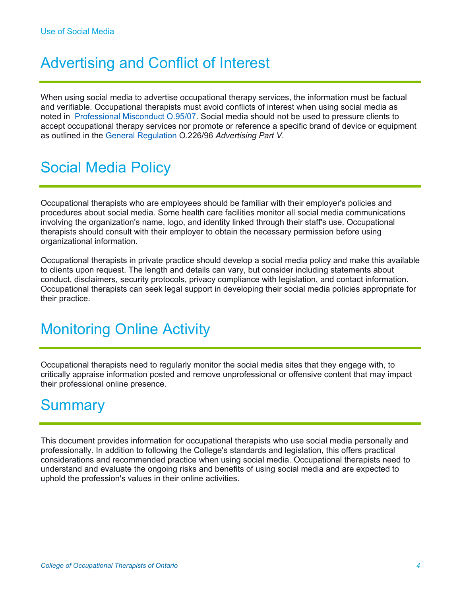# Advertising and Conflict of Interest

When using social media to advertise occupational therapy services, the information must be factual and verifiable. Occupational therapists must avoid conflicts of interest when using social media as noted in [Professional Misconduct O.95/07.](https://www.ontario.ca/laws/regulation/070095) Social media should not be used to pressure clients to accept occupational therapy services nor promote or reference a specific brand of device or equipment as outlined in the [General Regulation](https://www.ontario.ca/laws/regulation/960226) O.226/96 *Advertising Part V*.

# Social Media Policy

Occupational therapists who are employees should be familiar with their employer's policies and procedures about social media. Some health care facilities monitor all social media communications involving the organization's name, logo, and identity linked through their staff's use. Occupational therapists should consult with their employer to obtain the necessary permission before using organizational information.

Occupational therapists in private practice should develop a social media policy and make this available to clients upon request. The length and details can vary, but consider including statements about conduct, disclaimers, security protocols, privacy compliance with legislation, and contact information. Occupational therapists can seek legal support in developing their social media policies appropriate for their practice.

## Monitoring Online Activity

Occupational therapists need to regularly monitor the social media sites that they engage with, to critically appraise information posted and remove unprofessional or offensive content that may impact their professional online presence.

#### **Summary**

This document provides information for occupational therapists who use social media personally and professionally. In addition to following the College's standards and legislation, this offers practical considerations and recommended practice when using social media. Occupational therapists need to understand and evaluate the ongoing risks and benefits of using social media and are expected to uphold the profession's values in their online activities.